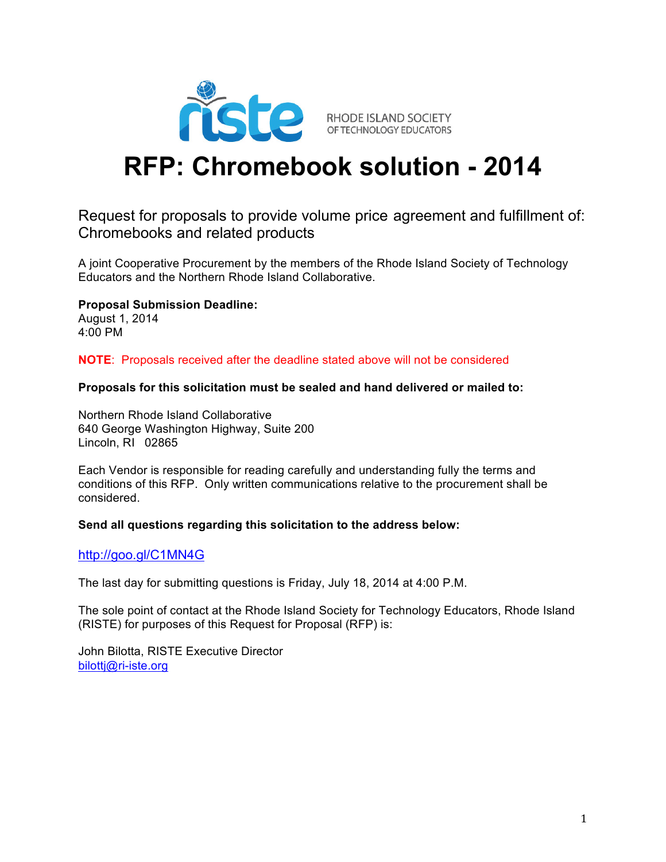

# **RFP: Chromebook solution - 2014**

# Request for proposals to provide volume price agreement and fulfillment of: Chromebooks and related products

A joint Cooperative Procurement by the members of the Rhode Island Society of Technology Educators and the Northern Rhode Island Collaborative.

**Proposal Submission Deadline:**

August 1, 2014 4:00 PM

**NOTE**: Proposals received after the deadline stated above will not be considered

#### **Proposals for this solicitation must be sealed and hand delivered or mailed to:**

Northern Rhode Island Collaborative 640 George Washington Highway, Suite 200 Lincoln, RI 02865

Each Vendor is responsible for reading carefully and understanding fully the terms and conditions of this RFP. Only written communications relative to the procurement shall be considered.

#### **Send all questions regarding this solicitation to the address below:**

#### http://goo.gl/C1MN4G

The last day for submitting questions is Friday, July 18, 2014 at 4:00 P.M.

The sole point of contact at the Rhode Island Society for Technology Educators, Rhode Island (RISTE) for purposes of this Request for Proposal (RFP) is:

John Bilotta, RISTE Executive Director bilottj@ri-iste.org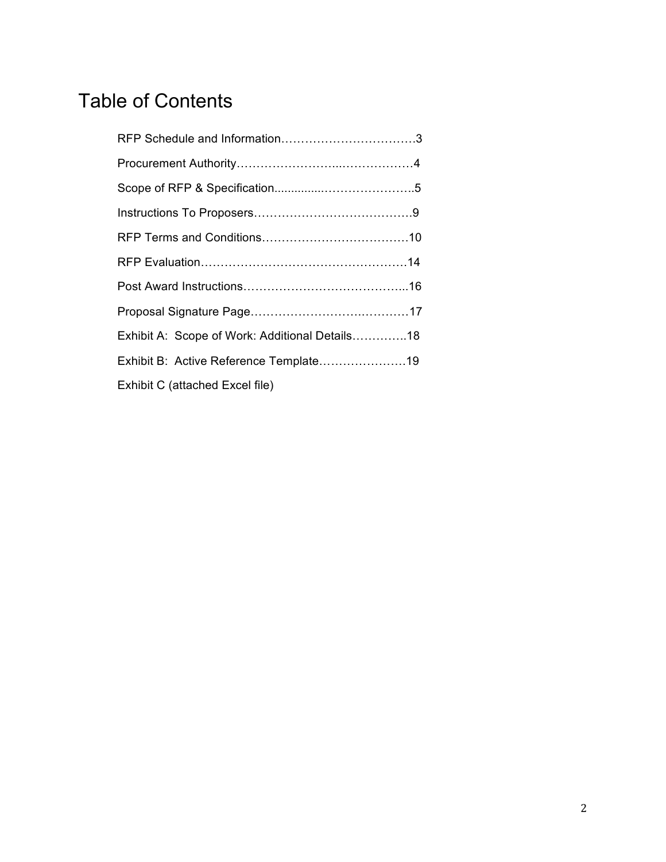# Table of Contents

| Exhibit A: Scope of Work: Additional Details18 |
|------------------------------------------------|
| Exhibit B: Active Reference Template19         |
| Exhibit C (attached Excel file)                |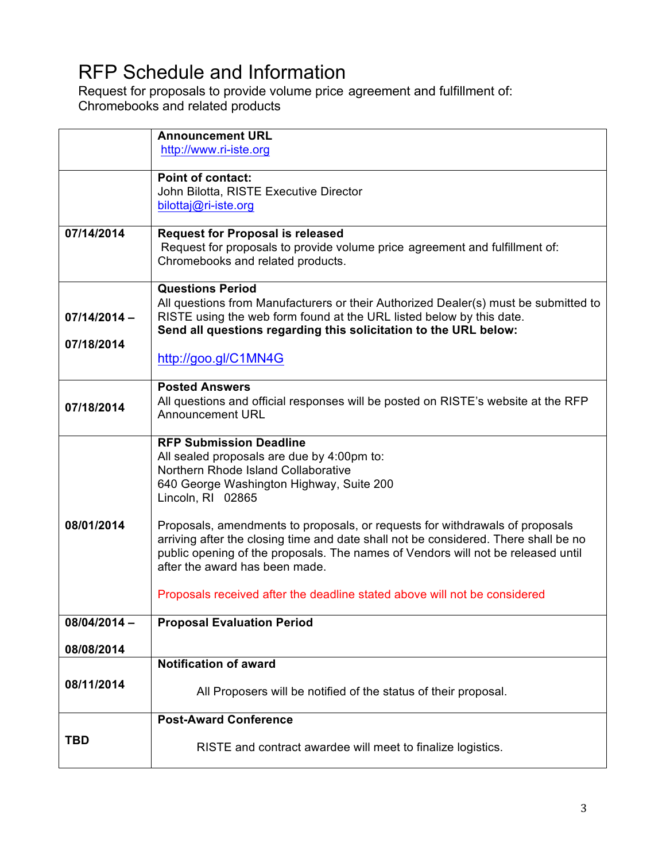# RFP Schedule and Information

Request for proposals to provide volume price agreement and fulfillment of: Chromebooks and related products

|                | <b>Announcement URL</b>                                                                                                                                     |
|----------------|-------------------------------------------------------------------------------------------------------------------------------------------------------------|
|                | http://www.ri-iste.org                                                                                                                                      |
|                |                                                                                                                                                             |
|                | <b>Point of contact:</b>                                                                                                                                    |
|                | John Bilotta, RISTE Executive Director<br>bilottaj@ri-iste.org                                                                                              |
|                |                                                                                                                                                             |
| 07/14/2014     | <b>Request for Proposal is released</b>                                                                                                                     |
|                | Request for proposals to provide volume price agreement and fulfillment of:                                                                                 |
|                | Chromebooks and related products.                                                                                                                           |
|                |                                                                                                                                                             |
|                | <b>Questions Period</b>                                                                                                                                     |
| $07/14/2014 -$ | All questions from Manufacturers or their Authorized Dealer(s) must be submitted to<br>RISTE using the web form found at the URL listed below by this date. |
|                | Send all questions regarding this solicitation to the URL below:                                                                                            |
| 07/18/2014     |                                                                                                                                                             |
|                | http://goo.gl/C1MN4G                                                                                                                                        |
|                |                                                                                                                                                             |
|                | <b>Posted Answers</b>                                                                                                                                       |
| 07/18/2014     | All questions and official responses will be posted on RISTE's website at the RFP<br><b>Announcement URL</b>                                                |
|                |                                                                                                                                                             |
|                | <b>RFP Submission Deadline</b>                                                                                                                              |
|                | All sealed proposals are due by 4:00pm to:                                                                                                                  |
|                | Northern Rhode Island Collaborative                                                                                                                         |
|                | 640 George Washington Highway, Suite 200                                                                                                                    |
|                | Lincoln, RI 02865                                                                                                                                           |
| 08/01/2014     | Proposals, amendments to proposals, or requests for withdrawals of proposals                                                                                |
|                | arriving after the closing time and date shall not be considered. There shall be no                                                                         |
|                | public opening of the proposals. The names of Vendors will not be released until                                                                            |
|                | after the award has been made.                                                                                                                              |
|                |                                                                                                                                                             |
|                | Proposals received after the deadline stated above will not be considered                                                                                   |
| 08/04/2014 -   | <b>Proposal Evaluation Period</b>                                                                                                                           |
|                |                                                                                                                                                             |
| 08/08/2014     |                                                                                                                                                             |
|                | <b>Notification of award</b>                                                                                                                                |
| 08/11/2014     | All Proposers will be notified of the status of their proposal.                                                                                             |
|                |                                                                                                                                                             |
|                | <b>Post-Award Conference</b>                                                                                                                                |
| <b>TBD</b>     |                                                                                                                                                             |
|                | RISTE and contract awardee will meet to finalize logistics.                                                                                                 |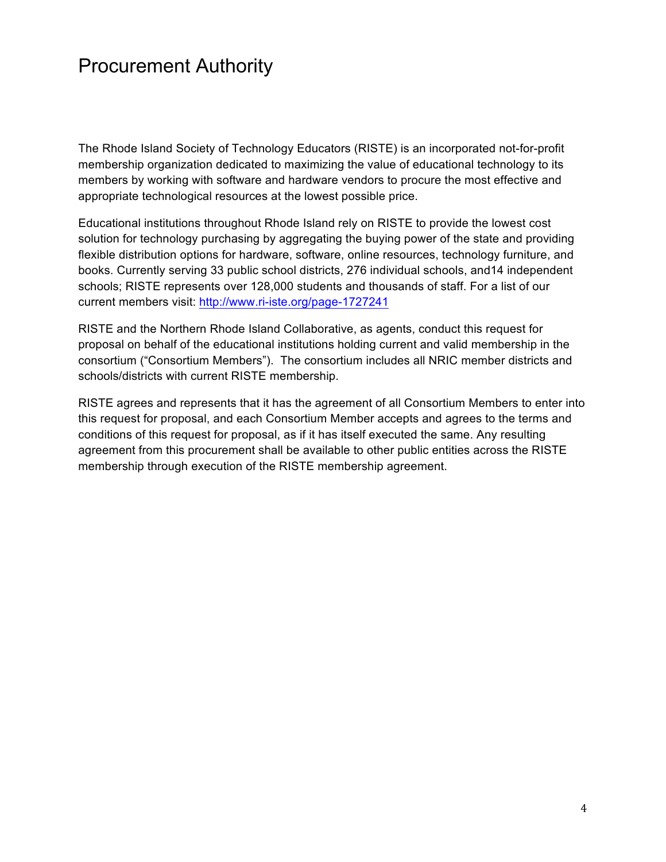# Procurement Authority

The Rhode Island Society of Technology Educators (RISTE) is an incorporated not-for-profit membership organization dedicated to maximizing the value of educational technology to its members by working with software and hardware vendors to procure the most effective and appropriate technological resources at the lowest possible price.

Educational institutions throughout Rhode Island rely on RISTE to provide the lowest cost solution for technology purchasing by aggregating the buying power of the state and providing flexible distribution options for hardware, software, online resources, technology furniture, and books. Currently serving 33 public school districts, 276 individual schools, and14 independent schools; RISTE represents over 128,000 students and thousands of staff. For a list of our current members visit: http://www.ri-iste.org/page-1727241

RISTE and the Northern Rhode Island Collaborative, as agents, conduct this request for proposal on behalf of the educational institutions holding current and valid membership in the consortium ("Consortium Members"). The consortium includes all NRIC member districts and schools/districts with current RISTE membership.

RISTE agrees and represents that it has the agreement of all Consortium Members to enter into this request for proposal, and each Consortium Member accepts and agrees to the terms and conditions of this request for proposal, as if it has itself executed the same. Any resulting agreement from this procurement shall be available to other public entities across the RISTE membership through execution of the RISTE membership agreement.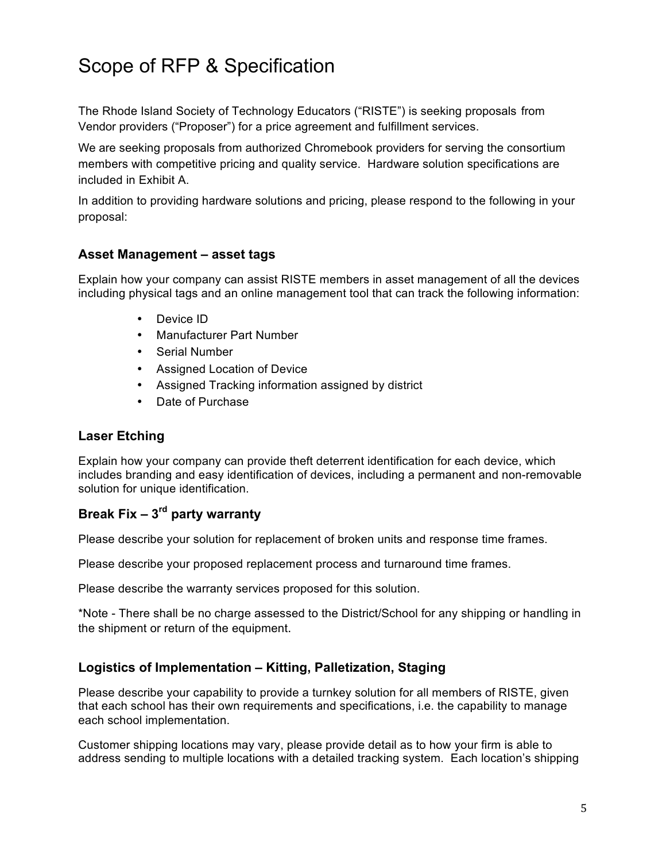# Scope of RFP & Specification

The Rhode Island Society of Technology Educators ("RISTE") is seeking proposals from Vendor providers ("Proposer") for a price agreement and fulfillment services.

We are seeking proposals from authorized Chromebook providers for serving the consortium members with competitive pricing and quality service. Hardware solution specifications are included in Exhibit A.

In addition to providing hardware solutions and pricing, please respond to the following in your proposal:

### **Asset Management – asset tags**

Explain how your company can assist RISTE members in asset management of all the devices including physical tags and an online management tool that can track the following information:

- Device ID
- Manufacturer Part Number
- Serial Number
- Assigned Location of Device
- Assigned Tracking information assigned by district
- Date of Purchase

#### **Laser Etching**

Explain how your company can provide theft deterrent identification for each device, which includes branding and easy identification of devices, including a permanent and non-removable solution for unique identification.

# **Break Fix – 3rd party warranty**

Please describe your solution for replacement of broken units and response time frames.

Please describe your proposed replacement process and turnaround time frames.

Please describe the warranty services proposed for this solution.

\*Note - There shall be no charge assessed to the District/School for any shipping or handling in the shipment or return of the equipment.

# **Logistics of Implementation – Kitting, Palletization, Staging**

Please describe your capability to provide a turnkey solution for all members of RISTE, given that each school has their own requirements and specifications, i.e. the capability to manage each school implementation.

Customer shipping locations may vary, please provide detail as to how your firm is able to address sending to multiple locations with a detailed tracking system. Each location's shipping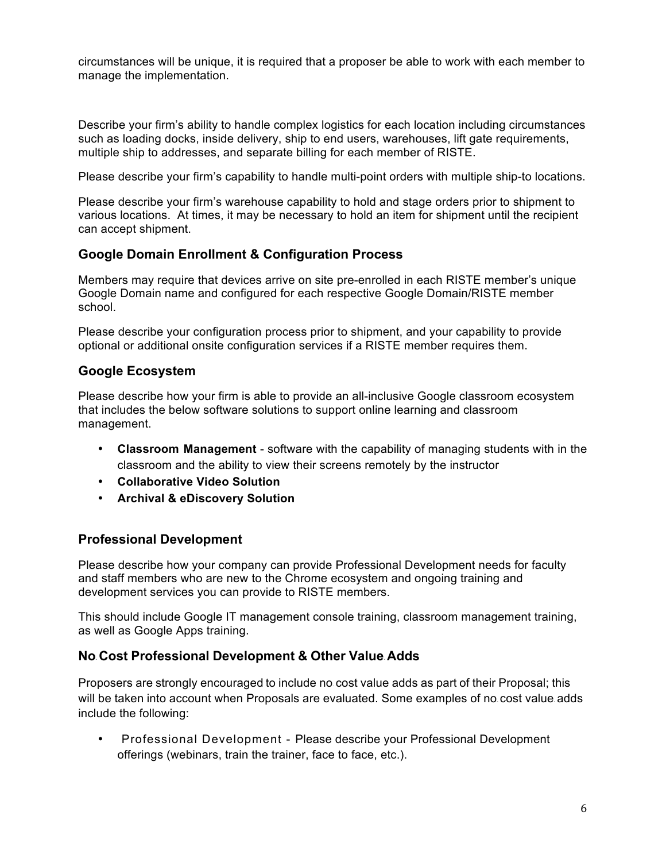circumstances will be unique, it is required that a proposer be able to work with each member to manage the implementation.

Describe your firm's ability to handle complex logistics for each location including circumstances such as loading docks, inside delivery, ship to end users, warehouses, lift gate requirements, multiple ship to addresses, and separate billing for each member of RISTE.

Please describe your firm's capability to handle multi-point orders with multiple ship-to locations.

Please describe your firm's warehouse capability to hold and stage orders prior to shipment to various locations. At times, it may be necessary to hold an item for shipment until the recipient can accept shipment.

### **Google Domain Enrollment & Configuration Process**

Members may require that devices arrive on site pre-enrolled in each RISTE member's unique Google Domain name and configured for each respective Google Domain/RISTE member school.

Please describe your configuration process prior to shipment, and your capability to provide optional or additional onsite configuration services if a RISTE member requires them.

#### **Google Ecosystem**

Please describe how your firm is able to provide an all-inclusive Google classroom ecosystem that includes the below software solutions to support online learning and classroom management.

- **Classroom Management** software with the capability of managing students with in the classroom and the ability to view their screens remotely by the instructor
- **Collaborative Video Solution**
- **Archival & eDiscovery Solution**

#### **Professional Development**

Please describe how your company can provide Professional Development needs for faculty and staff members who are new to the Chrome ecosystem and ongoing training and development services you can provide to RISTE members.

This should include Google IT management console training, classroom management training, as well as Google Apps training.

#### **No‐Cost Professional Development & Other Value‐Adds**

Proposers are strongly encouraged to include no cost value adds as part of their Proposal; this will be taken into account when Proposals are evaluated. Some examples of no cost value adds include the following:

• Professional Development - Please describe your Professional Development offerings (webinars, train the trainer, face to face, etc.).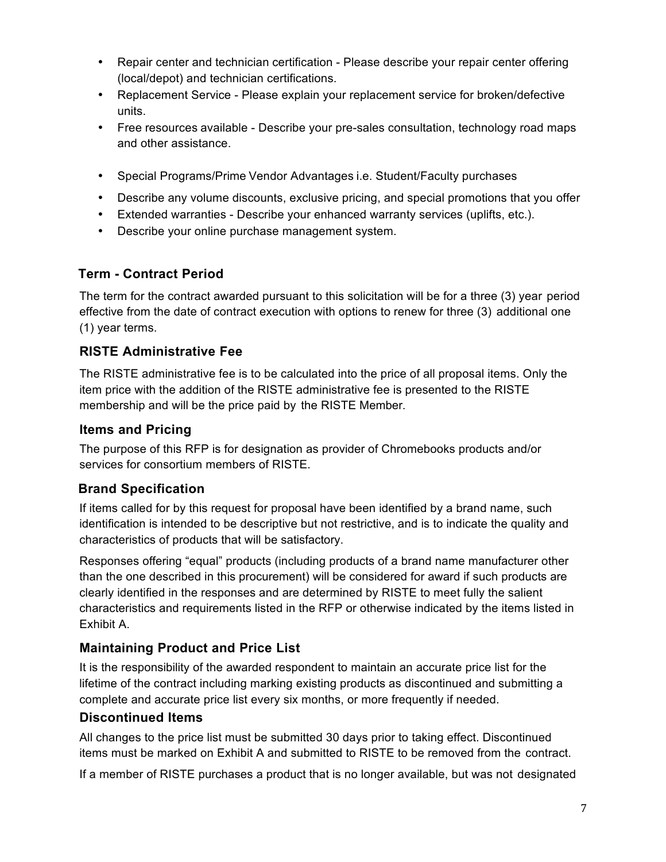- Repair center and technician certification Please describe your repair center offering (local/depot) and technician certifications.
- Replacement Service Please explain your replacement service for broken/defective units.
- Free resources available Describe your pre-sales consultation, technology road maps and other assistance.
- Special Programs/Prime Vendor Advantages i.e. Student/Faculty purchases
- Describe any volume discounts, exclusive pricing, and special promotions that you offer
- Extended warranties Describe your enhanced warranty services (uplifts, etc.).
- Describe your online purchase management system.

# **Term - Contract Period**

The term for the contract awarded pursuant to this solicitation will be for a three (3) year period effective from the date of contract execution with options to renew for three (3) additional one (1) year terms.

# **RISTE Administrative Fee**

The RISTE administrative fee is to be calculated into the price of all proposal items. Only the item price with the addition of the RISTE administrative fee is presented to the RISTE membership and will be the price paid by the RISTE Member.

### **Items and Pricing**

The purpose of this RFP is for designation as provider of Chromebooks products and/or services for consortium members of RISTE.

# **Brand Specification**

If items called for by this request for proposal have been identified by a brand name, such identification is intended to be descriptive but not restrictive, and is to indicate the quality and characteristics of products that will be satisfactory.

Responses offering "equal" products (including products of a brand name manufacturer other than the one described in this procurement) will be considered for award if such products are clearly identified in the responses and are determined by RISTE to meet fully the salient characteristics and requirements listed in the RFP or otherwise indicated by the items listed in Exhibit A.

# **Maintaining Product and Price List**

It is the responsibility of the awarded respondent to maintain an accurate price list for the lifetime of the contract including marking existing products as discontinued and submitting a complete and accurate price list every six months, or more frequently if needed.

# **Discontinued Items**

All changes to the price list must be submitted 30 days prior to taking effect. Discontinued items must be marked on Exhibit A and submitted to RISTE to be removed from the contract.

If a member of RISTE purchases a product that is no longer available, but was not designated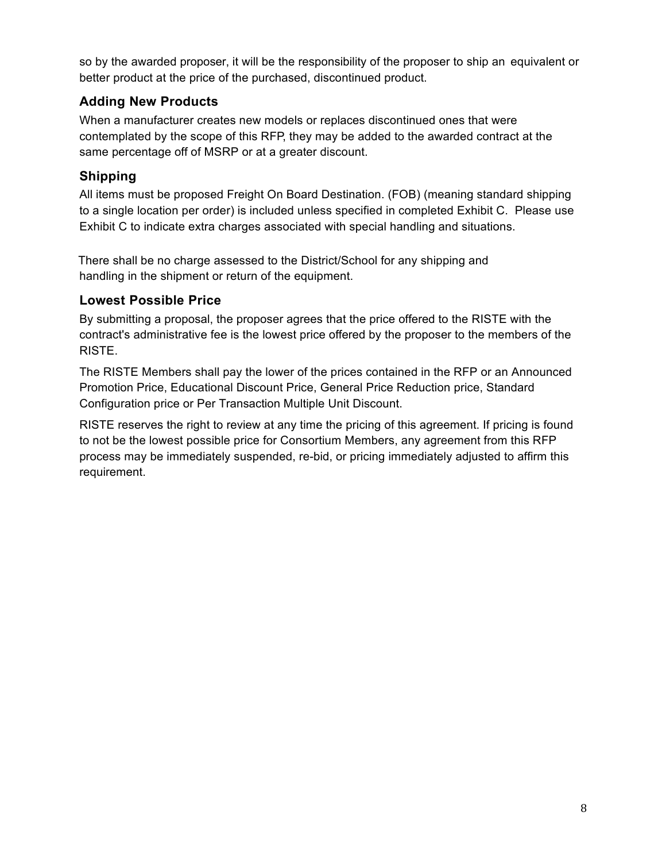so by the awarded proposer, it will be the responsibility of the proposer to ship an equivalent or better product at the price of the purchased, discontinued product.

# **Adding New Products**

When a manufacturer creates new models or replaces discontinued ones that were contemplated by the scope of this RFP, they may be added to the awarded contract at the same percentage off of MSRP or at a greater discount.

# **Shipping**

All items must be proposed Freight On Board Destination. (FOB) (meaning standard shipping to a single location per order) is included unless specified in completed Exhibit C. Please use Exhibit C to indicate extra charges associated with special handling and situations.

There shall be no charge assessed to the District/School for any shipping and handling in the shipment or return of the equipment.

# **Lowest Possible Price**

By submitting a proposal, the proposer agrees that the price offered to the RISTE with the contract's administrative fee is the lowest price offered by the proposer to the members of the RISTE.

The RISTE Members shall pay the lower of the prices contained in the RFP or an Announced Promotion Price, Educational Discount Price, General Price Reduction price, Standard Configuration price or Per Transaction Multiple Unit Discount.

RISTE reserves the right to review at any time the pricing of this agreement. If pricing is found to not be the lowest possible price for Consortium Members, any agreement from this RFP process may be immediately suspended, re-bid, or pricing immediately adjusted to affirm this requirement.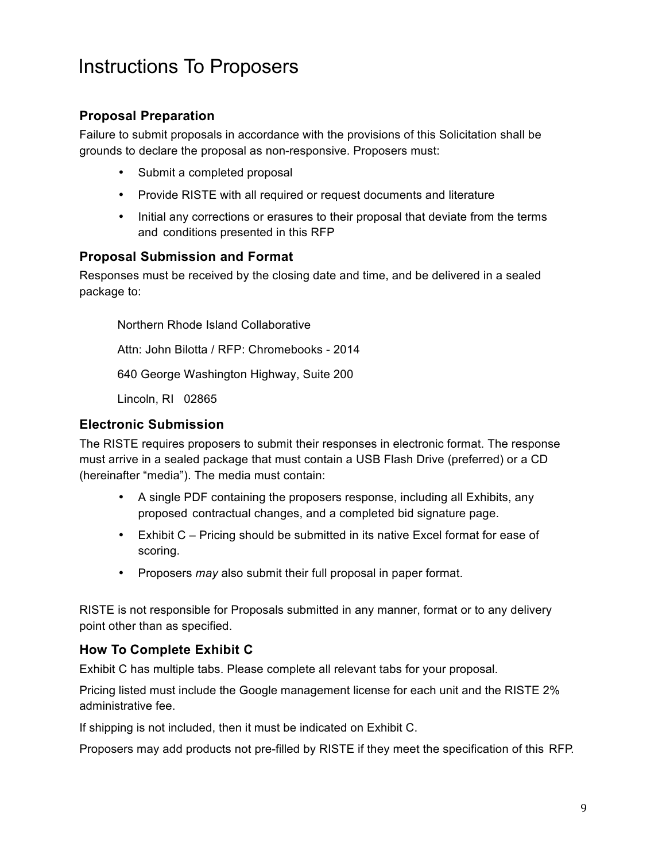# Instructions To Proposers

# **Proposal Preparation**

Failure to submit proposals in accordance with the provisions of this Solicitation shall be grounds to declare the proposal as non-responsive. Proposers must:

- Submit a completed proposal
- Provide RISTE with all required or request documents and literature
- Initial any corrections or erasures to their proposal that deviate from the terms and conditions presented in this RFP

### **Proposal Submission and Format**

Responses must be received by the closing date and time, and be delivered in a sealed package to:

Northern Rhode Island Collaborative Attn: John Bilotta / RFP: Chromebooks - 2014 640 George Washington Highway, Suite 200 Lincoln, RI 02865

# **Electronic Submission**

The RISTE requires proposers to submit their responses in electronic format. The response must arrive in a sealed package that must contain a USB Flash Drive (preferred) or a CD (hereinafter "media"). The media must contain:

- A single PDF containing the proposers response, including all Exhibits, any proposed contractual changes, and a completed bid signature page.
- Exhibit C Pricing should be submitted in its native Excel format for ease of scoring.
- Proposers *may* also submit their full proposal in paper format.

RISTE is not responsible for Proposals submitted in any manner, format or to any delivery point other than as specified.

# **How To Complete Exhibit C**

Exhibit C has multiple tabs. Please complete all relevant tabs for your proposal.

Pricing listed must include the Google management license for each unit and the RISTE 2% administrative fee.

If shipping is not included, then it must be indicated on Exhibit C.

Proposers may add products not pre-filled by RISTE if they meet the specification of this RFP.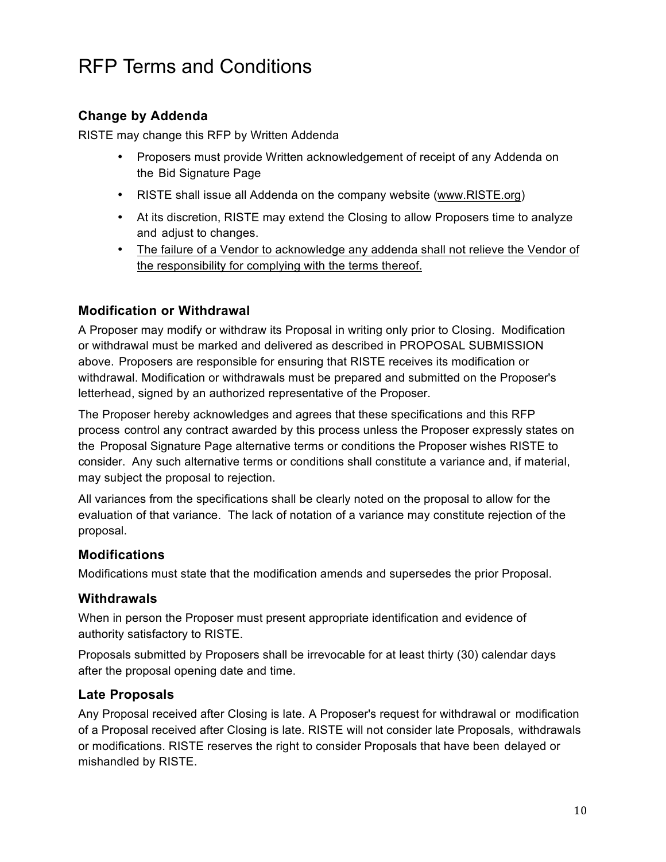# RFP Terms and Conditions

# **Change by Addenda**

RISTE may change this RFP by Written Addenda

- Proposers must provide Written acknowledgement of receipt of any Addenda on the Bid Signature Page
- RISTE shall issue all Addenda on the company website (www.RISTE.org)
- At its discretion, RISTE may extend the Closing to allow Proposers time to analyze and adjust to changes.
- The failure of a Vendor to acknowledge any addenda shall not relieve the Vendor of the responsibility for complying with the terms thereof.

### **Modification or Withdrawal**

A Proposer may modify or withdraw its Proposal in writing only prior to Closing. Modification or withdrawal must be marked and delivered as described in PROPOSAL SUBMISSION above. Proposers are responsible for ensuring that RISTE receives its modification or withdrawal. Modification or withdrawals must be prepared and submitted on the Proposer's letterhead, signed by an authorized representative of the Proposer.

The Proposer hereby acknowledges and agrees that these specifications and this RFP process control any contract awarded by this process unless the Proposer expressly states on the Proposal Signature Page alternative terms or conditions the Proposer wishes RISTE to consider. Any such alternative terms or conditions shall constitute a variance and, if material, may subject the proposal to rejection.

All variances from the specifications shall be clearly noted on the proposal to allow for the evaluation of that variance. The lack of notation of a variance may constitute rejection of the proposal.

#### **Modifications**

Modifications must state that the modification amends and supersedes the prior Proposal.

#### **Withdrawals**

When in person the Proposer must present appropriate identification and evidence of authority satisfactory to RISTE.

Proposals submitted by Proposers shall be irrevocable for at least thirty (30) calendar days after the proposal opening date and time.

#### **Late Proposals**

Any Proposal received after Closing is late. A Proposer's request for withdrawal or modification of a Proposal received after Closing is late. RISTE will not consider late Proposals, withdrawals or modifications. RISTE reserves the right to consider Proposals that have been delayed or mishandled by RISTE.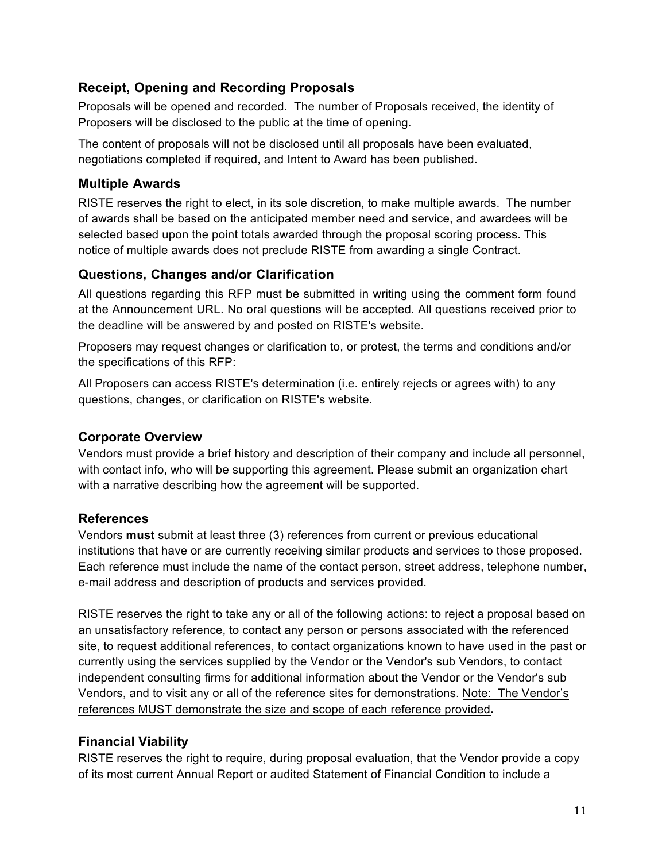# **Receipt, Opening and Recording Proposals**

Proposals will be opened and recorded. The number of Proposals received, the identity of Proposers will be disclosed to the public at the time of opening.

The content of proposals will not be disclosed until all proposals have been evaluated, negotiations completed if required, and Intent to Award has been published.

### **Multiple Awards**

RISTE reserves the right to elect, in its sole discretion, to make multiple awards. The number of awards shall be based on the anticipated member need and service, and awardees will be selected based upon the point totals awarded through the proposal scoring process. This notice of multiple awards does not preclude RISTE from awarding a single Contract.

# **Questions, Changes and/or Clarification**

All questions regarding this RFP must be submitted in writing using the comment form found at the Announcement URL. No oral questions will be accepted. All questions received prior to the deadline will be answered by and posted on RISTE's website.

Proposers may request changes or clarification to, or protest, the terms and conditions and/or the specifications of this RFP:

All Proposers can access RISTE's determination (i.e. entirely rejects or agrees with) to any questions, changes, or clarification on RISTE's website.

### **Corporate Overview**

Vendors must provide a brief history and description of their company and include all personnel, with contact info, who will be supporting this agreement. Please submit an organization chart with a narrative describing how the agreement will be supported.

# **References**

Vendors **must** submit at least three (3) references from current or previous educational institutions that have or are currently receiving similar products and services to those proposed. Each reference must include the name of the contact person, street address, telephone number, e-mail address and description of products and services provided.

RISTE reserves the right to take any or all of the following actions: to reject a proposal based on an unsatisfactory reference, to contact any person or persons associated with the referenced site, to request additional references, to contact organizations known to have used in the past or currently using the services supplied by the Vendor or the Vendor's sub Vendors, to contact independent consulting firms for additional information about the Vendor or the Vendor's sub Vendors, and to visit any or all of the reference sites for demonstrations. Note: The Vendor's references MUST demonstrate the size and scope of each reference provided*.*

# **Financial Viability**

RISTE reserves the right to require, during proposal evaluation, that the Vendor provide a copy of its most current Annual Report or audited Statement of Financial Condition to include a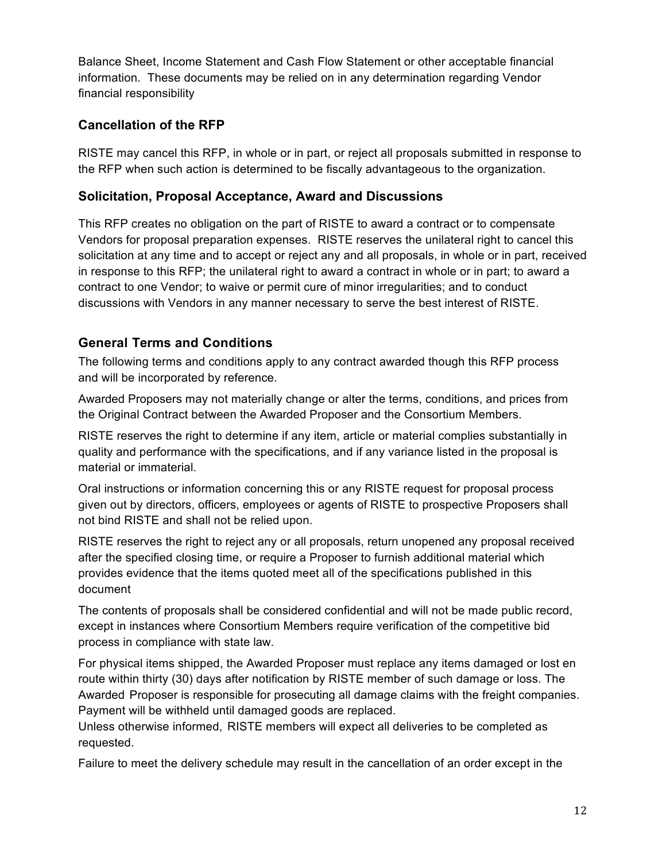Balance Sheet, Income Statement and Cash Flow Statement or other acceptable financial information. These documents may be relied on in any determination regarding Vendor financial responsibility

# **Cancellation of the RFP**

RISTE may cancel this RFP, in whole or in part, or reject all proposals submitted in response to the RFP when such action is determined to be fiscally advantageous to the organization.

# **Solicitation, Proposal Acceptance, Award and Discussions**

This RFP creates no obligation on the part of RISTE to award a contract or to compensate Vendors for proposal preparation expenses. RISTE reserves the unilateral right to cancel this solicitation at any time and to accept or reject any and all proposals, in whole or in part, received in response to this RFP; the unilateral right to award a contract in whole or in part; to award a contract to one Vendor; to waive or permit cure of minor irregularities; and to conduct discussions with Vendors in any manner necessary to serve the best interest of RISTE.

# **General Terms and Conditions**

The following terms and conditions apply to any contract awarded though this RFP process and will be incorporated by reference.

Awarded Proposers may not materially change or alter the terms, conditions, and prices from the Original Contract between the Awarded Proposer and the Consortium Members.

RISTE reserves the right to determine if any item, article or material complies substantially in quality and performance with the specifications, and if any variance listed in the proposal is material or immaterial.

Oral instructions or information concerning this or any RISTE request for proposal process given out by directors, officers, employees or agents of RISTE to prospective Proposers shall not bind RISTE and shall not be relied upon.

RISTE reserves the right to reject any or all proposals, return unopened any proposal received after the specified closing time, or require a Proposer to furnish additional material which provides evidence that the items quoted meet all of the specifications published in this document

The contents of proposals shall be considered confidential and will not be made public record, except in instances where Consortium Members require verification of the competitive bid process in compliance with state law.

For physical items shipped, the Awarded Proposer must replace any items damaged or lost en route within thirty (30) days after notification by RISTE member of such damage or loss. The Awarded Proposer is responsible for prosecuting all damage claims with the freight companies. Payment will be withheld until damaged goods are replaced.

Unless otherwise informed, RISTE members will expect all deliveries to be completed as requested.

Failure to meet the delivery schedule may result in the cancellation of an order except in the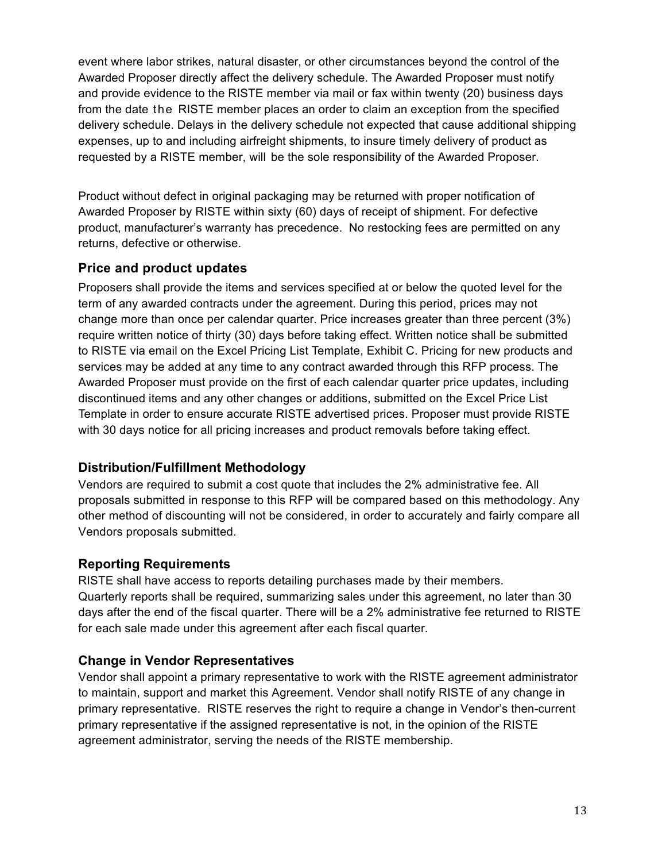event where labor strikes, natural disaster, or other circumstances beyond the control of the Awarded Proposer directly affect the delivery schedule. The Awarded Proposer must notify and provide evidence to the RISTE member via mail or fax within twenty (20) business days from the date the RISTE member places an order to claim an exception from the specified delivery schedule. Delays in the delivery schedule not expected that cause additional shipping expenses, up to and including airfreight shipments, to insure timely delivery of product as requested by a RISTE member, will be the sole responsibility of the Awarded Proposer.

Product without defect in original packaging may be returned with proper notification of Awarded Proposer by RISTE within sixty (60) days of receipt of shipment. For defective product, manufacturer's warranty has precedence. No restocking fees are permitted on any returns, defective or otherwise.

# **Price and product updates**

Proposers shall provide the items and services specified at or below the quoted level for the term of any awarded contracts under the agreement. During this period, prices may not change more than once per calendar quarter. Price increases greater than three percent (3%) require written notice of thirty (30) days before taking effect. Written notice shall be submitted to RISTE via email on the Excel Pricing List Template, Exhibit C. Pricing for new products and services may be added at any time to any contract awarded through this RFP process. The Awarded Proposer must provide on the first of each calendar quarter price updates, including discontinued items and any other changes or additions, submitted on the Excel Price List Template in order to ensure accurate RISTE advertised prices. Proposer must provide RISTE with 30 days notice for all pricing increases and product removals before taking effect.

#### **Distribution/Fulfillment Methodology**

Vendors are required to submit a cost quote that includes the 2% administrative fee. All proposals submitted in response to this RFP will be compared based on this methodology. Any other method of discounting will not be considered, in order to accurately and fairly compare all Vendors proposals submitted.

#### **Reporting Requirements**

RISTE shall have access to reports detailing purchases made by their members. Quarterly reports shall be required, summarizing sales under this agreement, no later than 30 days after the end of the fiscal quarter. There will be a 2% administrative fee returned to RISTE for each sale made under this agreement after each fiscal quarter.

#### **Change in Vendor Representatives**

Vendor shall appoint a primary representative to work with the RISTE agreement administrator to maintain, support and market this Agreement. Vendor shall notify RISTE of any change in primary representative. RISTE reserves the right to require a change in Vendor's then-current primary representative if the assigned representative is not, in the opinion of the RISTE agreement administrator, serving the needs of the RISTE membership.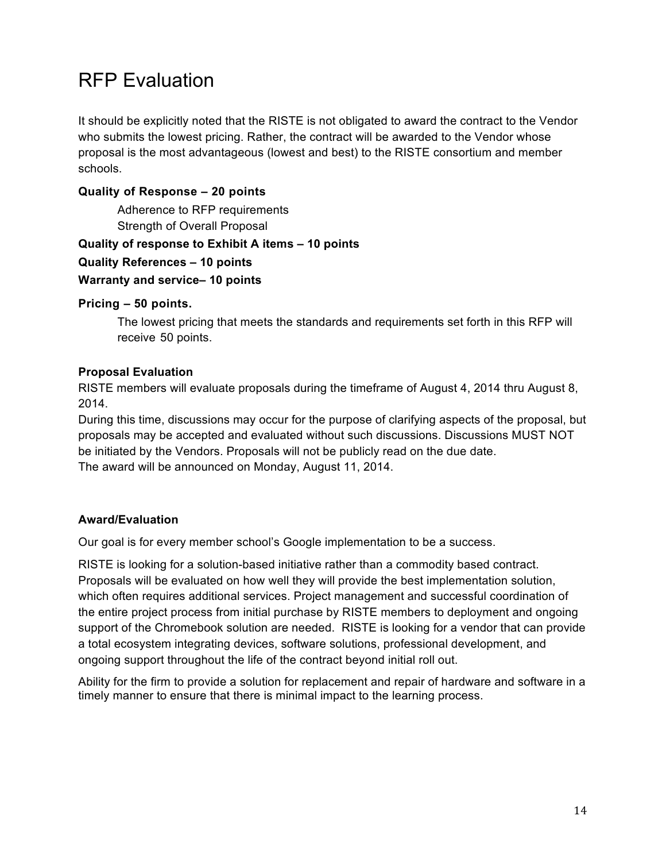# RFP Evaluation

It should be explicitly noted that the RISTE is not obligated to award the contract to the Vendor who submits the lowest pricing. Rather, the contract will be awarded to the Vendor whose proposal is the most advantageous (lowest and best) to the RISTE consortium and member schools.

#### **Quality of Response – 20 points**

Adherence to RFP requirements Strength of Overall Proposal

#### **Quality of response to Exhibit A items – 10 points**

**Quality References – 10 points**

#### **Warranty and service– 10 points**

#### **Pricing – 50 points.**

The lowest pricing that meets the standards and requirements set forth in this RFP will receive 50 points.

#### **Proposal Evaluation**

RISTE members will evaluate proposals during the timeframe of August 4, 2014 thru August 8, 2014.

During this time, discussions may occur for the purpose of clarifying aspects of the proposal, but proposals may be accepted and evaluated without such discussions. Discussions MUST NOT be initiated by the Vendors. Proposals will not be publicly read on the due date. The award will be announced on Monday, August 11, 2014.

#### **Award/Evaluation**

Our goal is for every member school's Google implementation to be a success.

RISTE is looking for a solution-based initiative rather than a commodity based contract. Proposals will be evaluated on how well they will provide the best implementation solution, which often requires additional services. Project management and successful coordination of the entire project process from initial purchase by RISTE members to deployment and ongoing support of the Chromebook solution are needed. RISTE is looking for a vendor that can provide a total ecosystem integrating devices, software solutions, professional development, and ongoing support throughout the life of the contract beyond initial roll out.

Ability for the firm to provide a solution for replacement and repair of hardware and software in a timely manner to ensure that there is minimal impact to the learning process.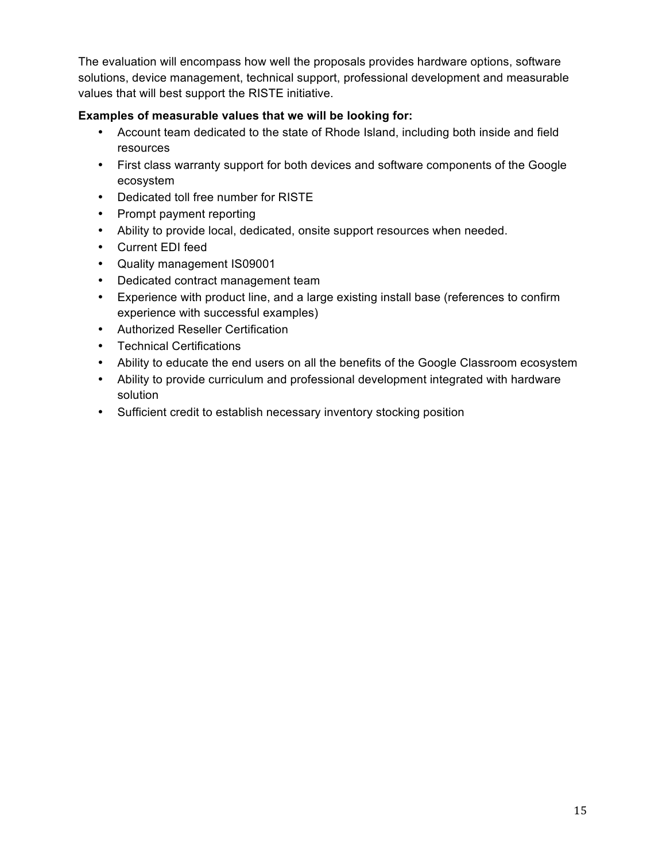The evaluation will encompass how well the proposals provides hardware options, software solutions, device management, technical support, professional development and measurable values that will best support the RISTE initiative.

#### **Examples of measurable values that we will be looking for:**

- Account team dedicated to the state of Rhode Island, including both inside and field resources
- First class warranty support for both devices and software components of the Google ecosystem
- Dedicated toll free number for RISTE
- Prompt payment reporting
- Ability to provide local, dedicated, onsite support resources when needed.
- Current EDI feed
- Quality management IS09001
- Dedicated contract management team
- Experience with product line, and a large existing install base (references to confirm experience with successful examples)
- Authorized Reseller Certification
- Technical Certifications
- Ability to educate the end users on all the benefits of the Google Classroom ecosystem
- Ability to provide curriculum and professional development integrated with hardware solution
- Sufficient credit to establish necessary inventory stocking position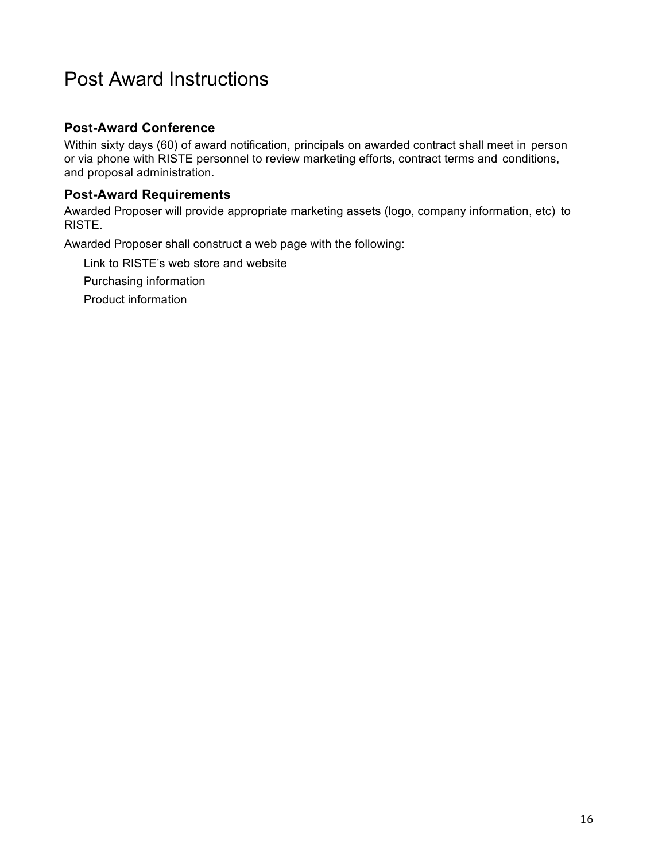# Post Award Instructions

### **Post-Award Conference**

Within sixty days (60) of award notification, principals on awarded contract shall meet in person or via phone with RISTE personnel to review marketing efforts, contract terms and conditions, and proposal administration.

#### **Post-Award Requirements**

Awarded Proposer will provide appropriate marketing assets (logo, company information, etc) to RISTE.

Awarded Proposer shall construct a web page with the following:

Link to RISTE's web store and website

Purchasing information

Product information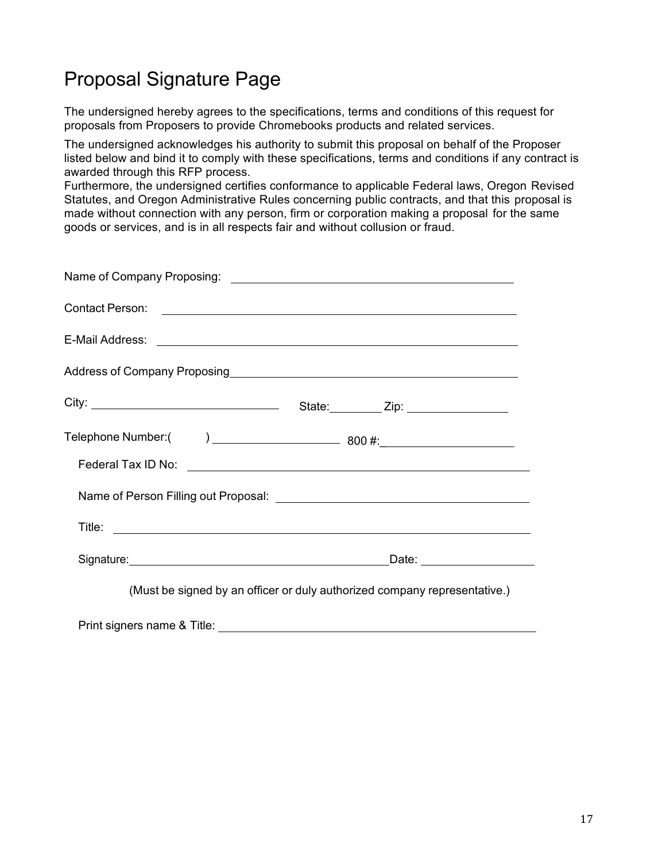# Proposal Signature Page

The undersigned hereby agrees to the specifications, terms and conditions of this request for proposals from Proposers to provide Chromebooks products and related services.

The undersigned acknowledges his authority to submit this proposal on behalf of the Proposer listed below and bind it to comply with these specifications, terms and conditions if any contract is awarded through this RFP process.

Furthermore, the undersigned certifies conformance to applicable Federal laws, Oregon Revised Statutes, and Oregon Administrative Rules concerning public contracts, and that this proposal is made without connection with any person, firm or corporation making a proposal for the same goods or services, and is in all respects fair and without collusion or fraud.

| Address of Company Proposing<br>Andress of Company Proposing                                                                                                                                                                         |  |                         |  |  |
|--------------------------------------------------------------------------------------------------------------------------------------------------------------------------------------------------------------------------------------|--|-------------------------|--|--|
|                                                                                                                                                                                                                                      |  | State: <u>Zip: Zip:</u> |  |  |
|                                                                                                                                                                                                                                      |  |                         |  |  |
|                                                                                                                                                                                                                                      |  |                         |  |  |
|                                                                                                                                                                                                                                      |  |                         |  |  |
| Title: <u>the contract of the contract of the contract of the contract of the contract of the contract of the contract of the contract of the contract of the contract of the contract of the contract of the contract of the co</u> |  |                         |  |  |
| Signature: <u>contact and a series of the series of the series of the series of the series of the series of the series of the series of the series of the series of the series of the series of the series of the series of the </u> |  |                         |  |  |
| (Must be signed by an officer or duly authorized company representative.)                                                                                                                                                            |  |                         |  |  |

Print signers name & Title: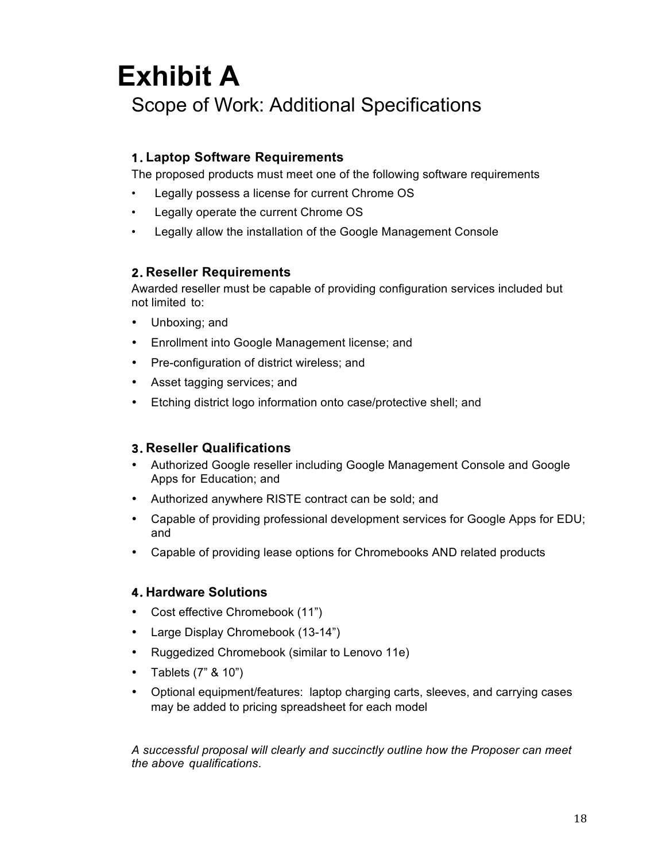# **Exhibit A** Scope of Work: Additional Specifications

# 1. **Laptop Software Requirements**

The proposed products must meet one of the following software requirements

- Legally possess a license for current Chrome OS
- Legally operate the current Chrome OS
- Legally allow the installation of the Google Management Console

#### 2. **Reseller Requirements**

Awarded reseller must be capable of providing configuration services included but not limited to:

- Unboxing; and
- Enrollment into Google Management license; and
- Pre-configuration of district wireless; and
- Asset tagging services; and
- Etching district logo information onto case/protective shell; and

#### 3. **Reseller Qualifications**

- Authorized Google reseller including Google Management Console and Google Apps for Education; and
- Authorized anywhere RISTE contract can be sold; and
- Capable of providing professional development services for Google Apps for EDU; and
- Capable of providing lease options for Chromebooks AND related products

#### 4. **Hardware Solutions**

- Cost effective Chromebook (11")
- Large Display Chromebook (13-14")
- Ruggedized Chromebook (similar to Lenovo 11e)
- Tablets (7" & 10")
- Optional equipment/features: laptop charging carts, sleeves, and carrying cases may be added to pricing spreadsheet for each model

*A successful proposal will clearly and succinctly outline how the Proposer can meet the above qualifications*.